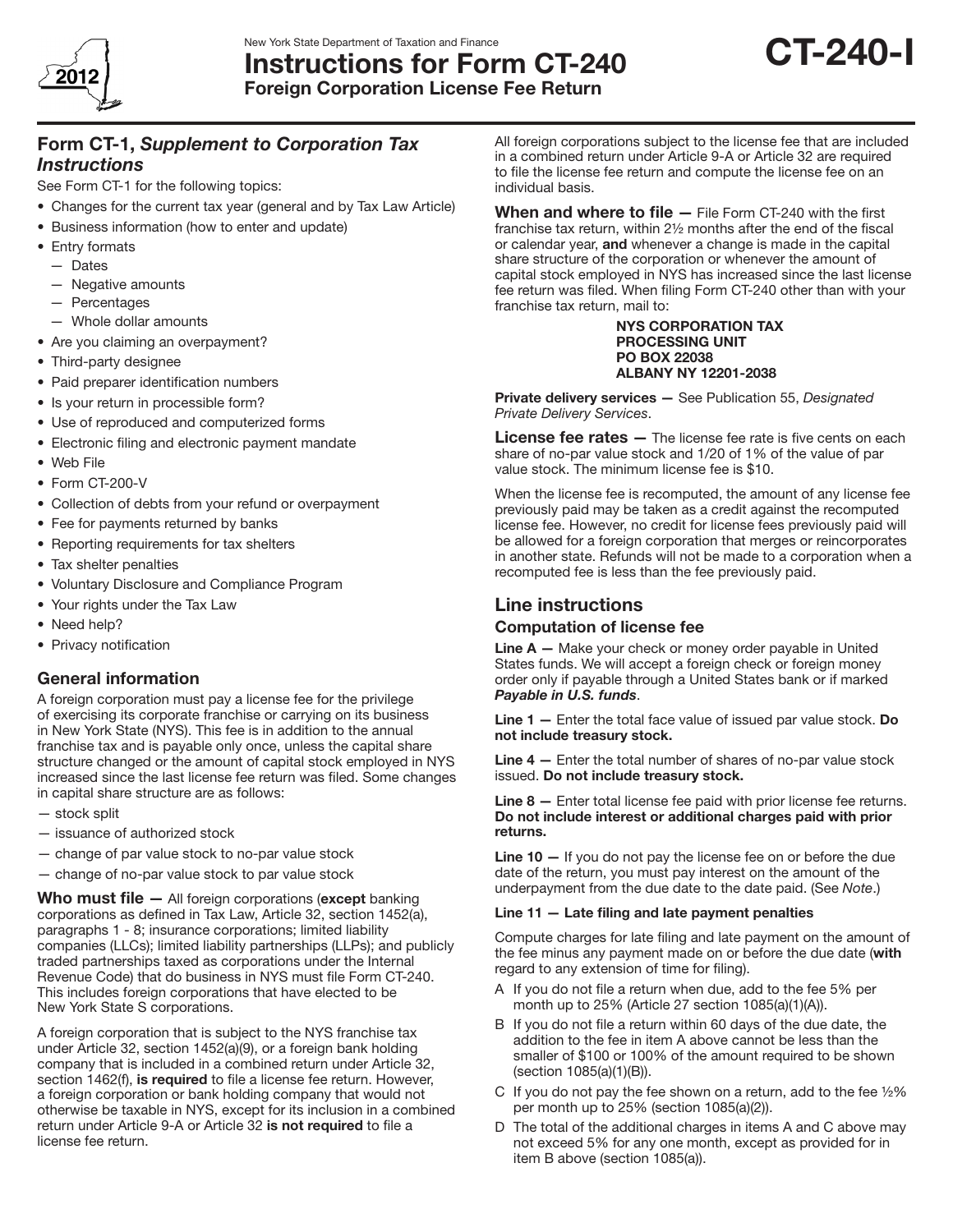

# New York State Department of Taxation and Finance<br>Instructions for Form CT-240 CT-240 Foreign Corporation License Fee Return



Form CT-1, *Supplement to Corporation Tax* 

## *Instructions*

See Form CT-1 for the following topics:

- Changes for the current tax year (general and by Tax Law Article)
- Business information (how to enter and update)
- Entry formats
	- — Dates
	- — Negative amounts
	- — Percentages
- $-$  Whole dollar amounts
- Are you claiming an overpayment?
- Third-party designee
- Paid preparer identification numbers
- Is your return in processible form?
- Use of reproduced and computerized forms
- Electronic filing and electronic payment mandate
- • Web File
- Form CT-200-V
- Collection of debts from your refund or overpayment
- Fee for payments returned by banks
- Reporting requirements for tax shelters
- Tax shelter penalties
- • Voluntary Disclosure and Compliance Program
- Your rights under the Tax Law
- Need help?
- Privacy notification

# General information

A foreign corporation must pay a license fee for the privilege of exercising its corporate franchise or carrying on its business in New York State (NYS). This fee is in addition to the annual franchise tax and is payable only once, unless the capital share structure changed or the amount of capital stock employed in NYS increased since the last license fee return was filed. Some changes in capital share structure are as follows:

- stock split
- issuance of authorized stock
- change of par value stock to no-par value stock
- change of no-par value stock to par value stock

Who must file  $-$  All foreign corporations (except banking corporations as defined in Tax Law, Article 32, section 1452(a), paragraphs 1 - 8; insurance corporations; limited liability companies (LLCs); limited liability partnerships (LLPs); and publicly traded partnerships taxed as corporations under the Internal Revenue Code) that do business in NYS must file Form CT-240. This includes foreign corporations that have elected to be New York State S corporations.

A foreign corporation that is subject to the NYS franchise tax under Article 32, section 1452(a)(9), or a foreign bank holding company that is included in a combined return under Article 32, section 1462(f), is required to file a license fee return. However, a foreign corporation or bank holding company that would not otherwise be taxable in NYS, except for its inclusion in a combined return under Article 9-A or Article 32 is not required to file a license fee return.

All foreign corporations subject to the license fee that are included in a combined return under Article 9-A or Article 32 are required to file the license fee return and compute the license fee on an individual basis.

When and where to file  $-$  File Form CT-240 with the first franchise tax return, within 2½ months after the end of the fiscal or calendar year, and whenever a change is made in the capital share structure of the corporation or whenever the amount of capital stock employed in NYS has increased since the last license fee return was filed. When filing Form CT‑240 other than with your franchise tax return, mail to:

> NYS CORPORATION TAX PROCESSING UNIT PO BOX 22038 ALBANY NY 12201-2038

Private delivery services — See Publication 55, *Designated Private Delivery Services*.

License fee rates - The license fee rate is five cents on each share of no-par value stock and 1/20 of 1% of the value of par value stock. The minimum license fee is \$10.

When the license fee is recomputed, the amount of any license fee previously paid may be taken as a credit against the recomputed license fee. However, no credit for license fees previously paid will be allowed for a foreign corporation that merges or reincorporates in another state. Refunds will not be made to a corporation when a recomputed fee is less than the fee previously paid.

# Line instructions

## Computation of license fee

**Line**  $A - M$  Make your check or money order payable in United States funds. We will accept a foreign check or foreign money order only if payable through a United States bank or if marked *Payable in U.S. funds*.

Line  $1 -$  Enter the total face value of issued par value stock. Do not include treasury stock.

Line 4 - Enter the total number of shares of no-par value stock issued. Do not include treasury stock.

Line 8 — Enter total license fee paid with prior license fee returns. Do not include interest or additional charges paid with prior returns.

Line 10 – If you do not pay the license fee on or before the due date of the return, you must pay interest on the amount of the underpayment from the due date to the date paid. (See *Note*.)

## Line 11 — Late filing and late payment penalties

Compute charges for late filing and late payment on the amount of the fee minus any payment made on or before the due date (with regard to any extension of time for filing).

- A If you do not file a return when due, add to the fee 5% per month up to 25% (Article 27 section 1085(a)(1)(A)).
- B If you do not file a return within 60 days of the due date, the addition to the fee in item A above cannot be less than the smaller of \$100 or 100% of the amount required to be shown (section 1085(a)(1)(B)).
- C If you do not pay the fee shown on a return, add to the fee  $\frac{1}{2}\%$ per month up to 25% (section 1085(a)(2)).
- D The total of the additional charges in items A and C above may not exceed 5% for any one month, except as provided for in item B above (section 1085(a)).